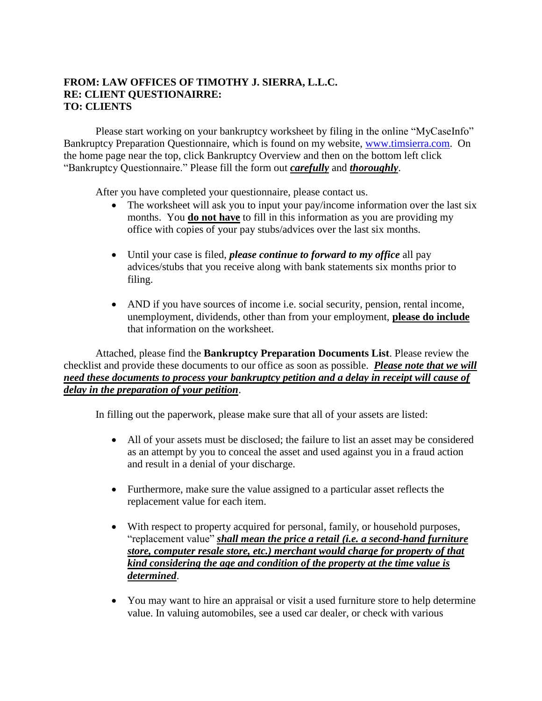## **FROM: LAW OFFICES OF TIMOTHY J. SIERRA, L.L.C. RE: CLIENT QUESTIONAIRRE: TO: CLIENTS**

Please start working on your bankruptcy worksheet by filing in the online "MyCaseInfo" Bankruptcy Preparation Questionnaire, which is found on my website, [www.timsierra.com.](http://www.timsierra.com/) On the home page near the top, click Bankruptcy Overview and then on the bottom left click "Bankruptcy Questionnaire." Please fill the form out *carefully* and *thoroughly*.

After you have completed your questionnaire, please contact us.

- The worksheet will ask you to input your pay/income information over the last six months. You **do not have** to fill in this information as you are providing my office with copies of your pay stubs/advices over the last six months.
- Until your case is filed, *please continue to forward to my office* all pay advices/stubs that you receive along with bank statements six months prior to filing.
- AND if you have sources of income i.e. social security, pension, rental income, unemployment, dividends, other than from your employment, **please do include** that information on the worksheet.

Attached, please find the **Bankruptcy Preparation Documents List**. Please review the checklist and provide these documents to our office as soon as possible. *Please note that we will need these documents to process your bankruptcy petition and a delay in receipt will cause of delay in the preparation of your petition*.

In filling out the paperwork, please make sure that all of your assets are listed:

- All of your assets must be disclosed; the failure to list an asset may be considered as an attempt by you to conceal the asset and used against you in a fraud action and result in a denial of your discharge.
- Furthermore, make sure the value assigned to a particular asset reflects the replacement value for each item.
- With respect to property acquired for personal, family, or household purposes, "replacement value" *shall mean the price a retail (i.e. a second-hand furniture store, computer resale store, etc.) merchant would charge for property of that kind considering the age and condition of the property at the time value is determined*.
- You may want to hire an appraisal or visit a used furniture store to help determine value. In valuing automobiles, see a used car dealer, or check with various